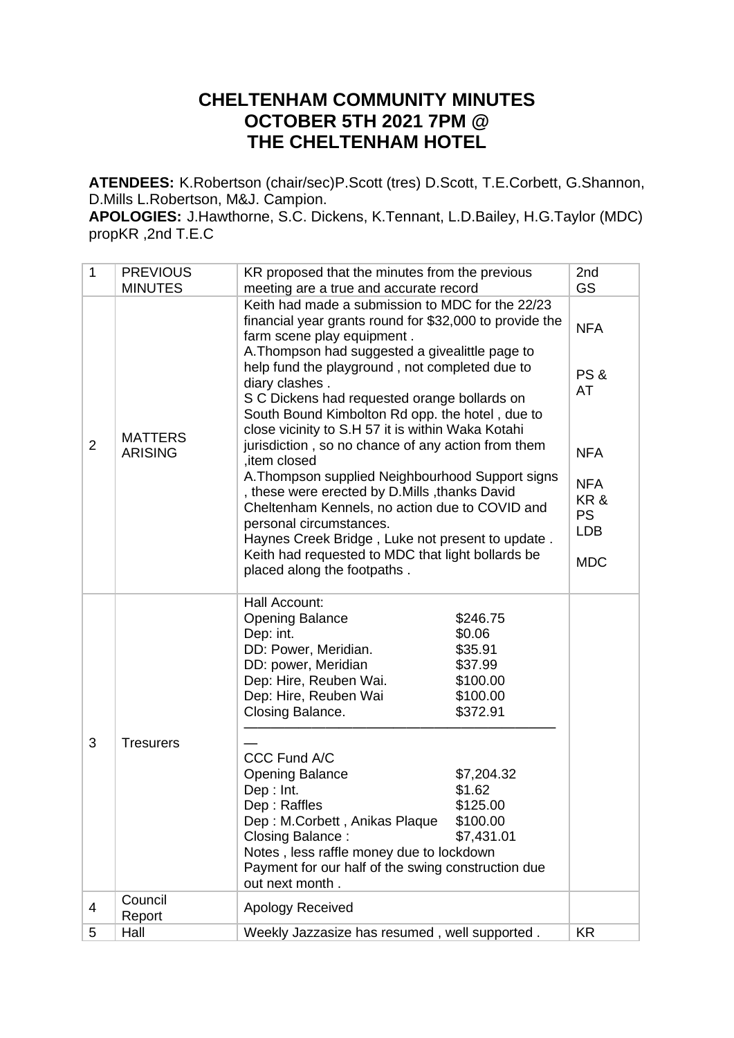## **CHELTENHAM COMMUNITY MINUTES OCTOBER 5TH 2021 7PM @ THE CHELTENHAM HOTEL**

**ATENDEES:** K.Robertson (chair/sec)P.Scott (tres) D.Scott, T.E.Corbett, G.Shannon, D.Mills L.Robertson, M&J. Campion.

**APOLOGIES:** J.Hawthorne, S.C. Dickens, K.Tennant, L.D.Bailey, H.G.Taylor (MDC) propKR ,2nd T.E.C

| 1              | <b>PREVIOUS</b>                  | KR proposed that the minutes from the previous                                                                                                                                                                                                                                                                                                                                                                                                                                                                                                                                                                                                                                                                                                                                                                            | 2nd                                                                                                             |
|----------------|----------------------------------|---------------------------------------------------------------------------------------------------------------------------------------------------------------------------------------------------------------------------------------------------------------------------------------------------------------------------------------------------------------------------------------------------------------------------------------------------------------------------------------------------------------------------------------------------------------------------------------------------------------------------------------------------------------------------------------------------------------------------------------------------------------------------------------------------------------------------|-----------------------------------------------------------------------------------------------------------------|
|                | <b>MINUTES</b>                   | meeting are a true and accurate record                                                                                                                                                                                                                                                                                                                                                                                                                                                                                                                                                                                                                                                                                                                                                                                    | <b>GS</b>                                                                                                       |
| $\overline{2}$ | <b>MATTERS</b><br><b>ARISING</b> | Keith had made a submission to MDC for the 22/23<br>financial year grants round for \$32,000 to provide the<br>farm scene play equipment.<br>A. Thompson had suggested a givealittle page to<br>help fund the playground, not completed due to<br>diary clashes.<br>S C Dickens had requested orange bollards on<br>South Bound Kimbolton Rd opp. the hotel, due to<br>close vicinity to S.H 57 it is within Waka Kotahi<br>jurisdiction, so no chance of any action from them<br>,item closed<br>A. Thompson supplied Neighbourhood Support signs<br>, these were erected by D.Mills , thanks David<br>Cheltenham Kennels, no action due to COVID and<br>personal circumstances.<br>Haynes Creek Bridge, Luke not present to update.<br>Keith had requested to MDC that light bollards be<br>placed along the footpaths. | <b>NFA</b><br><b>PS &amp;</b><br>AT<br><b>NFA</b><br><b>NFA</b><br>KR&<br><b>PS</b><br><b>LDB</b><br><b>MDC</b> |
| 3              | <b>Tresurers</b>                 | Hall Account:<br><b>Opening Balance</b><br>\$246.75<br>\$0.06<br>Dep: int.<br>DD: Power, Meridian.<br>\$35.91<br>DD: power, Meridian<br>\$37.99<br>Dep: Hire, Reuben Wai.<br>\$100.00<br>Dep: Hire, Reuben Wai<br>\$100.00<br>Closing Balance.<br>\$372.91<br>CCC Fund A/C<br><b>Opening Balance</b><br>\$7,204.32<br>Dep: Int.<br>\$1.62<br>Dep: Raffles<br>\$125.00<br>Dep: M.Corbett, Anikas Plaque<br>\$100.00<br>Closing Balance:<br>\$7,431.01<br>Notes, less raffle money due to lockdown<br>Payment for our half of the swing construction due<br>out next month.                                                                                                                                                                                                                                                 |                                                                                                                 |
| 4              | Council<br>Report                | Apology Received                                                                                                                                                                                                                                                                                                                                                                                                                                                                                                                                                                                                                                                                                                                                                                                                          |                                                                                                                 |
| 5              | Hall                             | Weekly Jazzasize has resumed, well supported.                                                                                                                                                                                                                                                                                                                                                                                                                                                                                                                                                                                                                                                                                                                                                                             | <b>KR</b>                                                                                                       |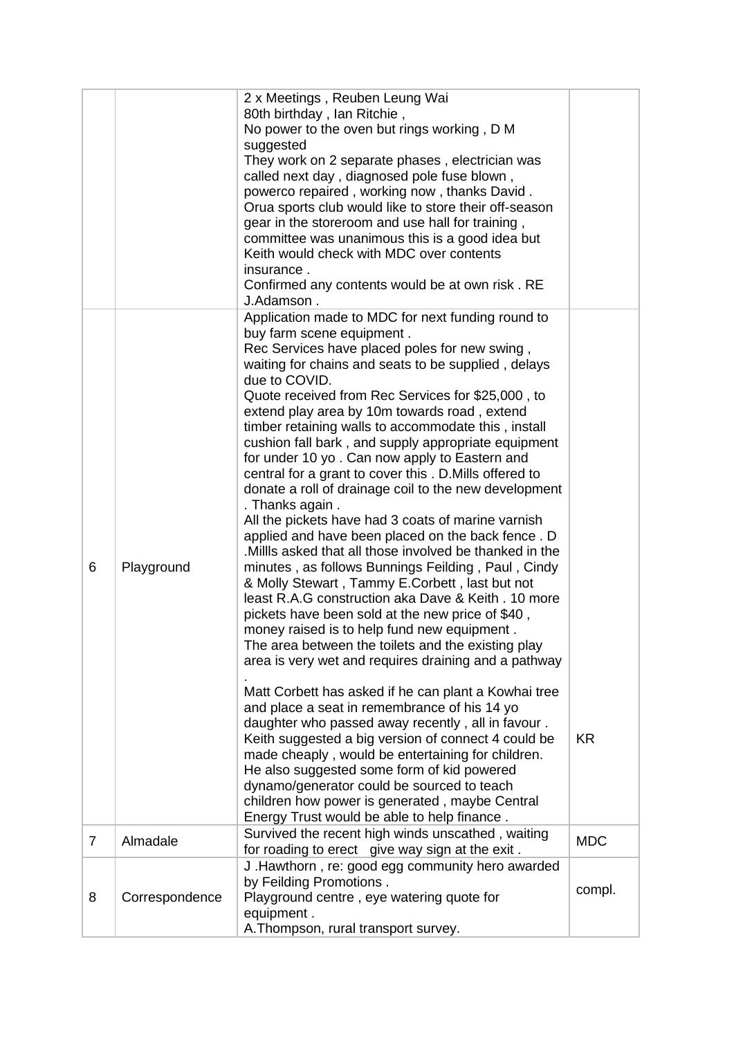|                |                | 2 x Meetings, Reuben Leung Wai<br>80th birthday, Ian Ritchie,<br>No power to the oven but rings working, D M<br>suggested<br>They work on 2 separate phases, electrician was<br>called next day, diagnosed pole fuse blown,<br>powerco repaired, working now, thanks David.                                                                                                                                                                                                                                                                                                                                                                                                                                                                                                                                                                                                                                                                                                                                                                                                                                                                                                                                                                                                                                                           |            |
|----------------|----------------|---------------------------------------------------------------------------------------------------------------------------------------------------------------------------------------------------------------------------------------------------------------------------------------------------------------------------------------------------------------------------------------------------------------------------------------------------------------------------------------------------------------------------------------------------------------------------------------------------------------------------------------------------------------------------------------------------------------------------------------------------------------------------------------------------------------------------------------------------------------------------------------------------------------------------------------------------------------------------------------------------------------------------------------------------------------------------------------------------------------------------------------------------------------------------------------------------------------------------------------------------------------------------------------------------------------------------------------|------------|
|                |                | Orua sports club would like to store their off-season<br>gear in the storeroom and use hall for training,<br>committee was unanimous this is a good idea but<br>Keith would check with MDC over contents<br>insurance.                                                                                                                                                                                                                                                                                                                                                                                                                                                                                                                                                                                                                                                                                                                                                                                                                                                                                                                                                                                                                                                                                                                |            |
|                |                | Confirmed any contents would be at own risk. RE<br>J.Adamson.                                                                                                                                                                                                                                                                                                                                                                                                                                                                                                                                                                                                                                                                                                                                                                                                                                                                                                                                                                                                                                                                                                                                                                                                                                                                         |            |
| 6              | Playground     | Application made to MDC for next funding round to<br>buy farm scene equipment.<br>Rec Services have placed poles for new swing,<br>waiting for chains and seats to be supplied, delays<br>due to COVID.<br>Quote received from Rec Services for \$25,000, to<br>extend play area by 10m towards road, extend<br>timber retaining walls to accommodate this, install<br>cushion fall bark, and supply appropriate equipment<br>for under 10 yo. Can now apply to Eastern and<br>central for a grant to cover this . D. Mills offered to<br>donate a roll of drainage coil to the new development<br>. Thanks again.<br>All the pickets have had 3 coats of marine varnish<br>applied and have been placed on the back fence. D<br>.Millls asked that all those involved be thanked in the<br>minutes, as follows Bunnings Feilding, Paul, Cindy<br>& Molly Stewart, Tammy E.Corbett, last but not<br>least R.A.G construction aka Dave & Keith . 10 more<br>pickets have been sold at the new price of \$40,<br>money raised is to help fund new equipment.<br>The area between the toilets and the existing play<br>area is very wet and requires draining and a pathway<br>Matt Corbett has asked if he can plant a Kowhai tree<br>and place a seat in remembrance of his 14 yo<br>daughter who passed away recently, all in favour. |            |
|                |                | Keith suggested a big version of connect 4 could be<br>made cheaply, would be entertaining for children.<br>He also suggested some form of kid powered<br>dynamo/generator could be sourced to teach<br>children how power is generated, maybe Central<br>Energy Trust would be able to help finance.                                                                                                                                                                                                                                                                                                                                                                                                                                                                                                                                                                                                                                                                                                                                                                                                                                                                                                                                                                                                                                 | <b>KR</b>  |
| $\overline{7}$ | Almadale       | Survived the recent high winds unscathed, waiting<br>for roading to erect give way sign at the exit.                                                                                                                                                                                                                                                                                                                                                                                                                                                                                                                                                                                                                                                                                                                                                                                                                                                                                                                                                                                                                                                                                                                                                                                                                                  | <b>MDC</b> |
| 8              | Correspondence | J. Hawthorn, re: good egg community hero awarded<br>by Feilding Promotions.<br>Playground centre, eye watering quote for<br>equipment.<br>A. Thompson, rural transport survey.                                                                                                                                                                                                                                                                                                                                                                                                                                                                                                                                                                                                                                                                                                                                                                                                                                                                                                                                                                                                                                                                                                                                                        | compl.     |